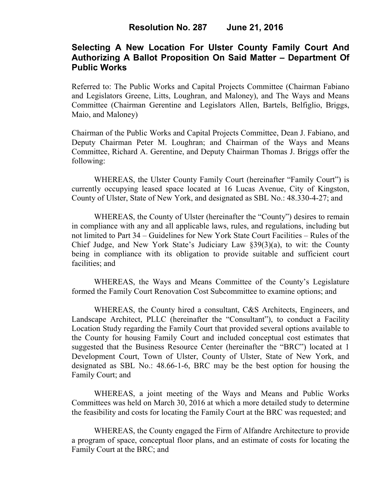# **Selecting A New Location For Ulster County Family Court And Authorizing A Ballot Proposition On Said Matter – Department Of Public Works**

Referred to: The Public Works and Capital Projects Committee (Chairman Fabiano and Legislators Greene, Litts, Loughran, and Maloney), and The Ways and Means Committee (Chairman Gerentine and Legislators Allen, Bartels, Belfiglio, Briggs, Maio, and Maloney)

Chairman of the Public Works and Capital Projects Committee, Dean J. Fabiano, and Deputy Chairman Peter M. Loughran; and Chairman of the Ways and Means Committee, Richard A. Gerentine, and Deputy Chairman Thomas J. Briggs offer the following:

WHEREAS, the Ulster County Family Court (hereinafter "Family Court") is currently occupying leased space located at 16 Lucas Avenue, City of Kingston, County of Ulster, State of New York, and designated as SBL No.: 48.330-4-27; and

WHEREAS, the County of Ulster (hereinafter the "County") desires to remain in compliance with any and all applicable laws, rules, and regulations, including but not limited to Part 34 – Guidelines for New York State Court Facilities – Rules of the Chief Judge, and New York State's Judiciary Law §39(3)(a), to wit: the County being in compliance with its obligation to provide suitable and sufficient court facilities; and

WHEREAS, the Ways and Means Committee of the County's Legislature formed the Family Court Renovation Cost Subcommittee to examine options; and

WHEREAS, the County hired a consultant, C&S Architects, Engineers, and Landscape Architect, PLLC (hereinafter the "Consultant"), to conduct a Facility Location Study regarding the Family Court that provided several options available to the County for housing Family Court and included conceptual cost estimates that suggested that the Business Resource Center (hereinafter the "BRC") located at 1 Development Court, Town of Ulster, County of Ulster, State of New York, and designated as SBL No.: 48.66-1-6, BRC may be the best option for housing the Family Court; and

WHEREAS, a joint meeting of the Ways and Means and Public Works Committees was held on March 30, 2016 at which a more detailed study to determine the feasibility and costs for locating the Family Court at the BRC was requested; and

WHEREAS, the County engaged the Firm of Alfandre Architecture to provide a program of space, conceptual floor plans, and an estimate of costs for locating the Family Court at the BRC; and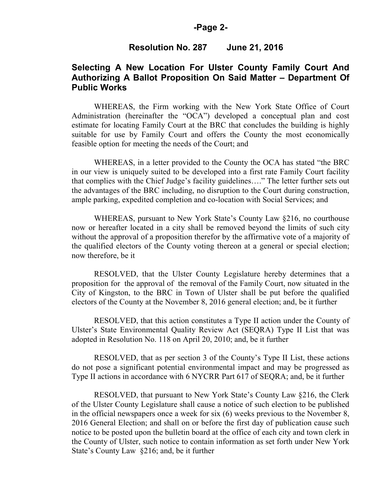#### **-Page 2-**

### **Resolution No. 287 June 21, 2016**

# **Selecting A New Location For Ulster County Family Court And Authorizing A Ballot Proposition On Said Matter – Department Of Public Works**

WHEREAS, the Firm working with the New York State Office of Court Administration (hereinafter the "OCA") developed a conceptual plan and cost estimate for locating Family Court at the BRC that concludes the building is highly suitable for use by Family Court and offers the County the most economically feasible option for meeting the needs of the Court; and

WHEREAS, in a letter provided to the County the OCA has stated "the BRC in our view is uniquely suited to be developed into a first rate Family Court facility that complies with the Chief Judge's facility guidelines…." The letter further sets out the advantages of the BRC including, no disruption to the Court during construction, ample parking, expedited completion and co-location with Social Services; and

WHEREAS, pursuant to New York State's County Law §216, no courthouse now or hereafter located in a city shall be removed beyond the limits of such city without the approval of a proposition therefor by the affirmative vote of a majority of the qualified electors of the County voting thereon at a general or special election; now therefore, be it

RESOLVED, that the Ulster County Legislature hereby determines that a proposition for the approval of the removal of the Family Court, now situated in the City of Kingston, to the BRC in Town of Ulster shall be put before the qualified electors of the County at the November 8, 2016 general election; and, be it further

RESOLVED, that this action constitutes a Type II action under the County of Ulster's State Environmental Quality Review Act (SEQRA) Type II List that was adopted in Resolution No. 118 on April 20, 2010; and, be it further

RESOLVED, that as per section 3 of the County's Type II List, these actions do not pose a significant potential environmental impact and may be progressed as Type II actions in accordance with 6 NYCRR Part 617 of SEQRA; and, be it further

RESOLVED, that pursuant to New York State's County Law §216, the Clerk of the Ulster County Legislature shall cause a notice of such election to be published in the official newspapers once a week for six (6) weeks previous to the November 8, 2016 General Election; and shall on or before the first day of publication cause such notice to be posted upon the bulletin board at the office of each city and town clerk in the County of Ulster, such notice to contain information as set forth under New York State's County Law §216; and, be it further